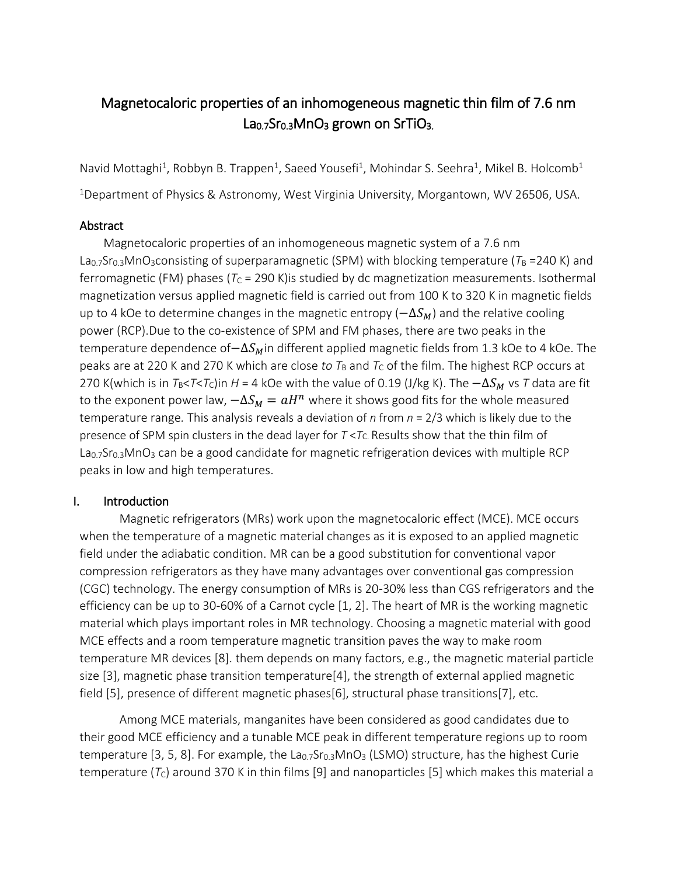# Magnetocaloric properties of an inhomogeneous magnetic thin film of 7.6 nm  $La<sub>0.7</sub>Sr<sub>0.3</sub>MnO<sub>3</sub>$  grown on SrTiO<sub>3.</sub>

Navid Mottaghi<sup>1</sup>, Robbyn B. Trappen<sup>1</sup>, Saeed Yousefi<sup>1</sup>, Mohindar S. Seehra<sup>1</sup>, Mikel B. Holcomb<sup>1</sup> <sup>1</sup>Department of Physics & Astronomy, West Virginia University, Morgantown, WV 26506, USA.

## Abstract

Magnetocaloric properties of an inhomogeneous magnetic system of a 7.6 nm La<sub>0.7</sub>Sr<sub>0.3</sub>MnO<sub>3</sub>consisting of superparamagnetic (SPM) with blocking temperature ( $T_B$  =240 K) and ferromagnetic (FM) phases ( $T_c$  = 290 K) is studied by dc magnetization measurements. Isothermal magnetization versus applied magnetic field is carried out from 100 K to 320 K in magnetic fields up to 4 kOe to determine changes in the magnetic entropy ( $-\Delta S_M$ ) and the relative cooling power (RCP).Due to the co-existence of SPM and FM phases, there are two peaks in the temperature dependence of $-\Delta S_M$ in different applied magnetic fields from 1.3 kOe to 4 kOe. The peaks are at 220 K and 270 K which are close *to*  $T_B$  and  $T_C$  of the film. The highest RCP occurs at 270 K(which is in  $T_B < T < T_C$ )in *H* = 4 kOe with the value of 0.19 (J/kg K). The  $-\Delta S_M$  vs *T* data are fit to the exponent power law,  $-\Delta S_M=aH^n$  where it shows good fits for the whole measured temperature range*.* This analysis reveals a deviation of *n* from *n* = 2/3 which is likely due to the presence of SPM spin clusters in the dead layer for  $T < T<sub>C</sub>$ . Results show that the thin film of La<sub>0.7</sub>Sr<sub>0.3</sub>MnO<sub>3</sub> can be a good candidate for magnetic refrigeration devices with multiple RCP peaks in low and high temperatures.

## I. Introduction

Magnetic refrigerators (MRs) work upon the magnetocaloric effect (MCE). MCE occurs when the temperature of a magnetic material changes as it is exposed to an applied magnetic field under the adiabatic condition. MR can be a good substitution for conventional vapor compression refrigerators as they have many advantages over conventional gas compression (CGC) technology. The energy consumption of MRs is 20-30% less than CGS refrigerators and the efficiency can be up to 30-60% of a Carnot cycle [1, 2]. The heart of MR is the working magnetic material which plays important roles in MR technology. Choosing a magnetic material with good MCE effects and a room temperature magnetic transition paves the way to make room temperature MR devices [8]. them depends on many factors, e.g., the magnetic material particle size [3], magnetic phase transition temperature[4], the strength of external applied magnetic field [5], presence of different magnetic phases[6], structural phase transitions[7], etc.

Among MCE materials, manganites have been considered as good candidates due to their good MCE efficiency and a tunable MCE peak in different temperature regions up to room temperature [3, 5, 8]. For example, the  $La<sub>0.7</sub>Sr<sub>0.3</sub>MnO<sub>3</sub>$  (LSMO) structure, has the highest Curie temperature  $(T_c)$  around 370 K in thin films [9] and nanoparticles [5] which makes this material a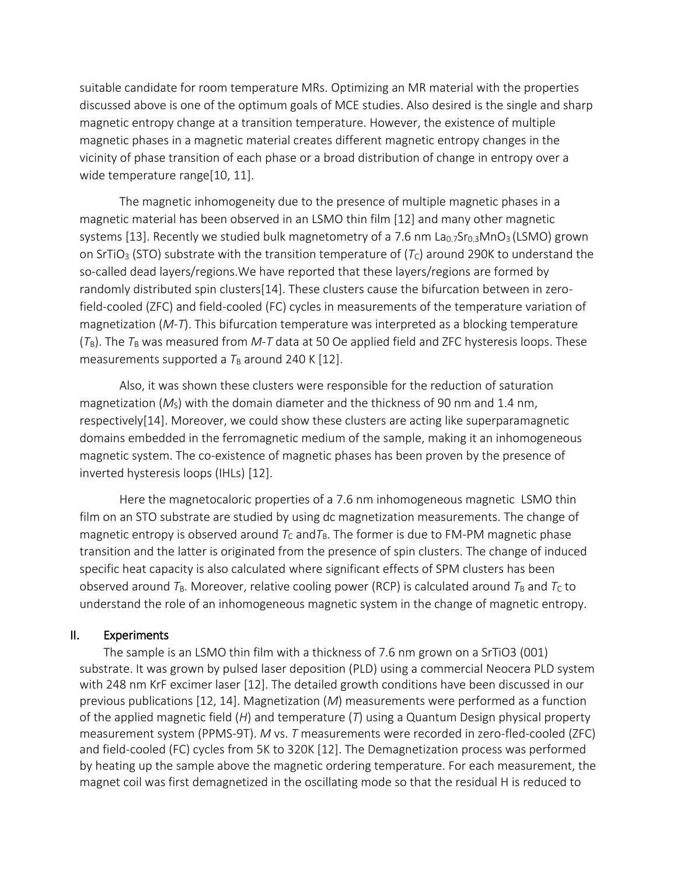suitable candidate for room temperature MRs. Optimizing an MR material with the properties discussed above is one of the optimum goals of MCE studies. Also desired is the single and sharp magnetic entropy change at a transition temperature. However, the existence of multiple magnetic phases in a magnetic material creates different magnetic entropy changes in the vicinity of phase transition of each phase or a broad distribution of change in entropy over a wide temperature range[10, 11].

The magnetic inhomogeneity due to the presence of multiple magnetic phases in a magnetic material has been observed in an LSMO thin film [12] and many other magnetic systems [13]. Recently we studied bulk magnetometry of a 7.6 nm  $La<sub>0.7</sub>Sr<sub>0.3</sub>MnO<sub>3</sub>$  (LSMO) grown on SrTiO<sub>3</sub> (STO) substrate with the transition temperature of  $(T<sub>C</sub>)$  around 290K to understand the so-called dead layers/regions.We have reported that these layers/regions are formed by randomly distributed spin clusters[14]. These clusters cause the bifurcation between in zerofield-cooled (ZFC) and field-cooled (FC) cycles in measurements of the temperature variation of magnetization (*M*-*T*). This bifurcation temperature was interpreted as a blocking temperature  $(T_B)$ . The  $T_B$  was measured from *M-T* data at 50 Oe applied field and ZFC hysteresis loops. These measurements supported a  $T_B$  around 240 K [12].

Also, it was shown these clusters were responsible for the reduction of saturation magnetization  $(M<sub>S</sub>)$  with the domain diameter and the thickness of 90 nm and 1.4 nm, respectively[14]. Moreover, we could show these clusters are acting like superparamagnetic domains embedded in the ferromagnetic medium of the sample, making it an inhomogeneous magnetic system. The co-existence of magnetic phases has been proven by the presence of inverted hysteresis loops (IHLs) [12].

Here the magnetocaloric properties of a 7.6 nm inhomogeneous magnetic LSMO thin film on an STO substrate are studied by using dc magnetization measurements. The change of magnetic entropy is observed around  $T_c$  and  $T_B$ . The former is due to FM-PM magnetic phase transition and the latter is originated from the presence of spin clusters. The change of induced specific heat capacity is also calculated where significant effects of SPM clusters has been observed around  $T_B$ . Moreover, relative cooling power (RCP) is calculated around  $T_B$  and  $T_C$  to understand the role of an inhomogeneous magnetic system in the change of magnetic entropy.

#### II. Experiments

The sample is an LSMO thin film with a thickness of 7.6 nm grown on a SrTiO3 (001) substrate. It was grown by pulsed laser deposition (PLD) using a commercial Neocera PLD system with 248 nm KrF excimer laser [12]. The detailed growth conditions have been discussed in our previous publications [12, 14]. Magnetization (*M*) measurements were performed as a function of the applied magnetic field (*H*) and temperature (*T*) using a Quantum Design physical property measurement system (PPMS-9T). *M* vs. *T* measurements were recorded in zero-fled-cooled (ZFC) and field-cooled (FC) cycles from 5K to 320K [12]. The Demagnetization process was performed by heating up the sample above the magnetic ordering temperature. For each measurement, the magnet coil was first demagnetized in the oscillating mode so that the residual H is reduced to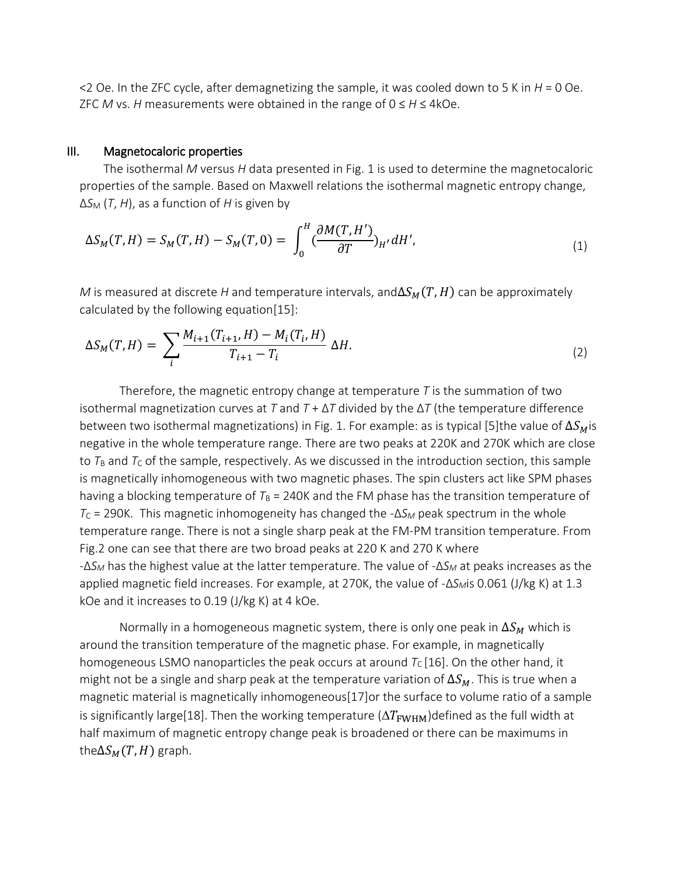$\leq$  2 Oe. In the ZFC cycle, after demagnetizing the sample, it was cooled down to 5 K in *H* = 0 Oe. ZFC *M* vs. *H* measurements were obtained in the range of 0 ≤ *H* ≤ 4kOe.

#### III. Magnetocaloric properties

The isothermal *M* versus *H* data presented in Fig. 1 is used to determine the magnetocaloric properties of the sample. Based on Maxwell relations the isothermal magnetic entropy change, ∆*S*<sup>M</sup> (*T*, *H*), as a function of *H* is given by

$$
\Delta S_M(T, H) = S_M(T, H) - S_M(T, 0) = \int_0^H \left(\frac{\partial M(T, H')}{\partial T}\right)_{H'} dH',\tag{1}
$$

*M* is measured at discrete *H* and temperature intervals, and  $\Delta S_M(T, H)$  can be approximately calculated by the following equation[15]:

$$
\Delta S_M(T, H) = \sum_i \frac{M_{i+1}(T_{i+1}, H) - M_i(T_i, H)}{T_{i+1} - T_i} \Delta H.
$$
\n(2)

Therefore, the magnetic entropy change at temperature *T* is the summation of two isothermal magnetization curves at *T* and *T* + ∆*T* divided by the ∆*T* (the temperature difference between two isothermal magnetizations) in Fig. 1. For example: as is typical [5]the value of  $\Delta S_M$ is negative in the whole temperature range. There are two peaks at 220K and 270K which are close to  $T_\text{B}$  and  $T_\text{C}$  of the sample, respectively. As we discussed in the introduction section, this sample is magnetically inhomogeneous with two magnetic phases. The spin clusters act like SPM phases having a blocking temperature of  $T_B = 240K$  and the FM phase has the transition temperature of *T*<sup>C</sup> = 290K. This magnetic inhomogeneity has changed the -∆*S<sup>M</sup>* peak spectrum in the whole temperature range. There is not a single sharp peak at the FM-PM transition temperature. From Fig.2 one can see that there are two broad peaks at 220 K and 270 K where -∆*S<sup>M</sup>* has the highest value at the latter temperature. The value of -∆*S<sup>M</sup>* at peaks increases as the applied magnetic field increases. For example, at 270K, the value of -∆*SM*is 0.061 (J/kg K) at 1.3 kOe and it increases to 0.19 (J/kg K) at 4 kOe.

Normally in a homogeneous magnetic system, there is only one peak in  $\Delta S_M$  which is around the transition temperature of the magnetic phase. For example, in magnetically homogeneous LSMO nanoparticles the peak occurs at around  $T_c$  [16]. On the other hand, it might not be a single and sharp peak at the temperature variation of  $\Delta S_M$ . This is true when a magnetic material is magnetically inhomogeneous[17]or the surface to volume ratio of a sample is significantly large[18]. Then the working temperature  $(\Delta T_{\rm FWHM})$ defined as the full width at half maximum of magnetic entropy change peak is broadened or there can be maximums in the  $\Delta S_M(T, H)$  graph.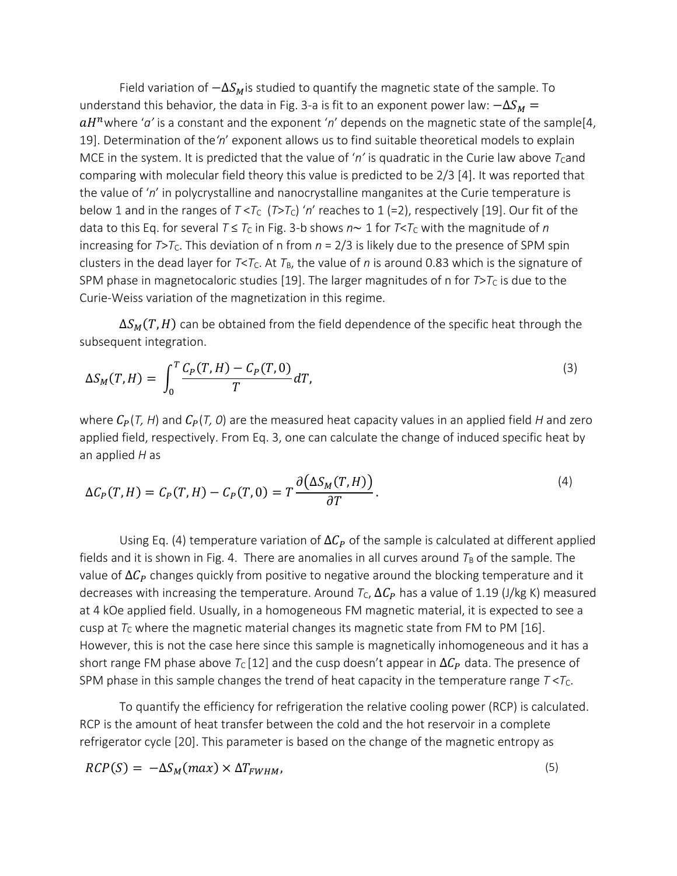Field variation of  $-\Delta S_M$  is studied to quantify the magnetic state of the sample. To understand this behavior, the data in Fig. 3-a is fit to an exponent power law:  $-\Delta S_M =$  $aH^n$ where 'a' is a constant and the exponent 'n' depends on the magnetic state of the sample[4, 19]. Determination of the*'n*' exponent allows us to find suitable theoretical models to explain MCE in the system. It is predicted that the value of 'n' is quadratic in the Curie law above  $T_{C}$ and comparing with molecular field theory this value is predicted to be 2/3 [4]. It was reported that the value of '*n*' in polycrystalline and nanocrystalline manganites at the Curie temperature is below 1 and in the ranges of  $T < T_c$  ( $T > T_c$ ) 'n' reaches to 1 (=2), respectively [19]. Our fit of the data to this Eq. for several  $T \leq T_C$  in Fig. 3-b shows  $n \sim 1$  for  $T \leq T_C$  with the magnitude of *n* increasing for  $T>T_c$ . This deviation of n from  $n = 2/3$  is likely due to the presence of SPM spin clusters in the dead layer for  $T < T_c$ . At  $T_B$ , the value of *n* is around 0.83 which is the signature of SPM phase in magnetocaloric studies [19]. The larger magnitudes of n for  $T>T<sub>C</sub>$  is due to the Curie-Weiss variation of the magnetization in this regime.

 $\Delta S_M(T, H)$  can be obtained from the field dependence of the specific heat through the subsequent integration.

$$
\Delta S_M(T, H) = \int_0^T \frac{C_P(T, H) - C_P(T, 0)}{T} dT,
$$
\n(3)

where  $C_p(T, H)$  and  $C_p(T, 0)$  are the measured heat capacity values in an applied field *H* and zero applied field, respectively. From Eq. 3, one can calculate the change of induced specific heat by an applied *H* as

$$
\Delta C_P(T, H) = C_P(T, H) - C_P(T, 0) = T \frac{\partial (\Delta S_M(T, H))}{\partial T}.
$$
\n(4)

Using Eq. (4) temperature variation of  $\Delta C_p$  of the sample is calculated at different applied fields and it is shown in Fig. 4. There are anomalies in all curves around  $T_B$  of the sample. The value of  $\Delta C_p$  changes quickly from positive to negative around the blocking temperature and it decreases with increasing the temperature. Around  $T_c$ ,  $\Delta C_p$  has a value of 1.19 (J/kg K) measured at 4 kOe applied field. Usually, in a homogeneous FM magnetic material, it is expected to see a cusp at  $T_c$  where the magnetic material changes its magnetic state from FM to PM [16]. However, this is not the case here since this sample is magnetically inhomogeneous and it has a short range FM phase above  $T_c$  [12] and the cusp doesn't appear in  $\Delta C_p$  data. The presence of SPM phase in this sample changes the trend of heat capacity in the temperature range  $T < T<sub>C</sub>$ .

To quantify the efficiency for refrigeration the relative cooling power (RCP) is calculated. RCP is the amount of heat transfer between the cold and the hot reservoir in a complete refrigerator cycle [20]. This parameter is based on the change of the magnetic entropy as

$$
RCP(S) = -\Delta S_M(max) \times \Delta T_{FWHM},
$$
\n<sup>(5)</sup>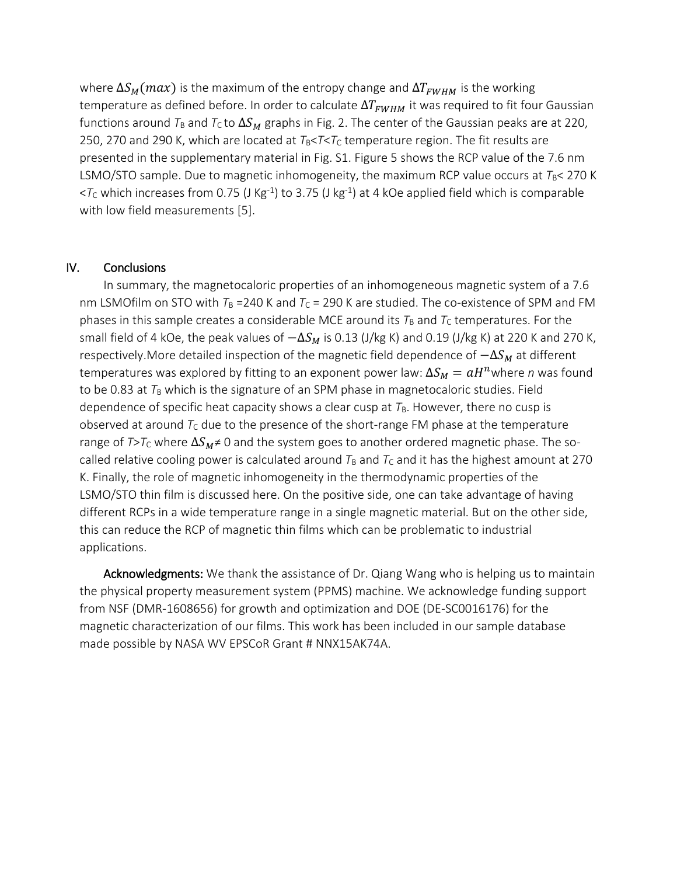where  $\Delta S_M(max)$  is the maximum of the entropy change and  $\Delta T_{FWHM}$  is the working temperature as defined before. In order to calculate  $\Delta T_{FWHM}$  it was required to fit four Gaussian functions around  $T_B$  and  $T_C$  to  $\Delta S_M$  graphs in Fig. 2. The center of the Gaussian peaks are at 220, 250, 270 and 290 K, which are located at  $T_B < T < T_C$  temperature region. The fit results are presented in the supplementary material in Fig. S1. Figure 5 shows the RCP value of the 7.6 nm LSMO/STO sample. Due to magnetic inhomogeneity, the maximum RCP value occurs at  $T_B$ < 270 K  $<$ *T*<sub>C</sub> which increases from 0.75 (J Kg<sup>-1</sup>) to 3.75 (J kg<sup>-1</sup>) at 4 kOe applied field which is comparable with low field measurements [5].

### IV. Conclusions

In summary, the magnetocaloric properties of an inhomogeneous magnetic system of a 7.6 nm LSMOfilm on STO with  $T_B = 240$  K and  $T_C = 290$  K are studied. The co-existence of SPM and FM phases in this sample creates a considerable MCE around its  $T_B$  and  $T_C$  temperatures. For the small field of 4 kOe, the peak values of  $-\Delta S_M$  is 0.13 (J/kg K) and 0.19 (J/kg K) at 220 K and 270 K, respectively.More detailed inspection of the magnetic field dependence of  $-\Delta S_M$  at different temperatures was explored by fitting to an exponent power law:  $\Delta S_M = a H^n$ where  $n$  was found to be 0.83 at  $T_B$  which is the signature of an SPM phase in magnetocaloric studies. Field dependence of specific heat capacity shows a clear cusp at  $T_B$ . However, there no cusp is observed at around  $T_c$  due to the presence of the short-range FM phase at the temperature range of  $T>T_c$  where  $\Delta S_M \neq 0$  and the system goes to another ordered magnetic phase. The socalled relative cooling power is calculated around  $T_B$  and  $T_C$  and it has the highest amount at 270 K. Finally, the role of magnetic inhomogeneity in the thermodynamic properties of the LSMO/STO thin film is discussed here. On the positive side, one can take advantage of having different RCPs in a wide temperature range in a single magnetic material. But on the other side, this can reduce the RCP of magnetic thin films which can be problematic to industrial applications.

Acknowledgments: We thank the assistance of Dr. Qiang Wang who is helping us to maintain the physical property measurement system (PPMS) machine. We acknowledge funding support from NSF (DMR-1608656) for growth and optimization and DOE (DE-SC0016176) for the magnetic characterization of our films. This work has been included in our sample database made possible by NASA WV EPSCoR Grant # NNX15AK74A.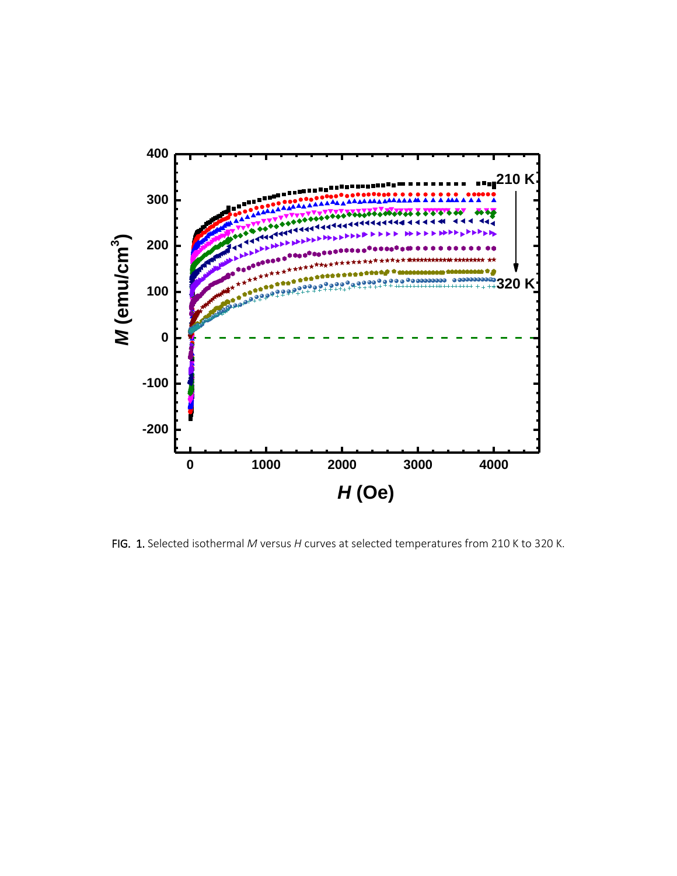

FIG. 1. Selected isothermal *M* versus *H* curves at selected temperatures from 210 K to 320 K.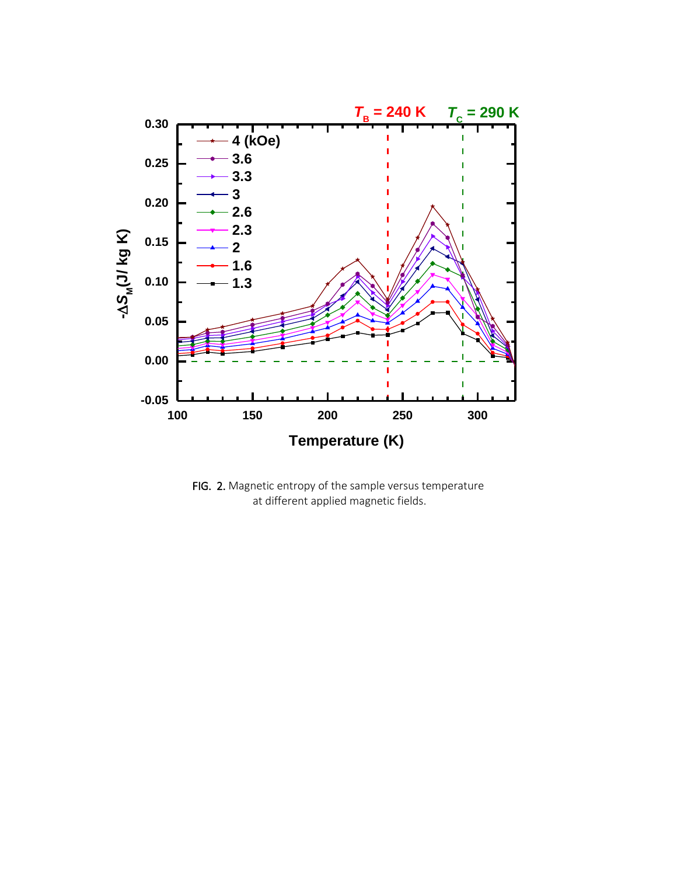

FIG. 2. Magnetic entropy of the sample versus temperature at different applied magnetic fields.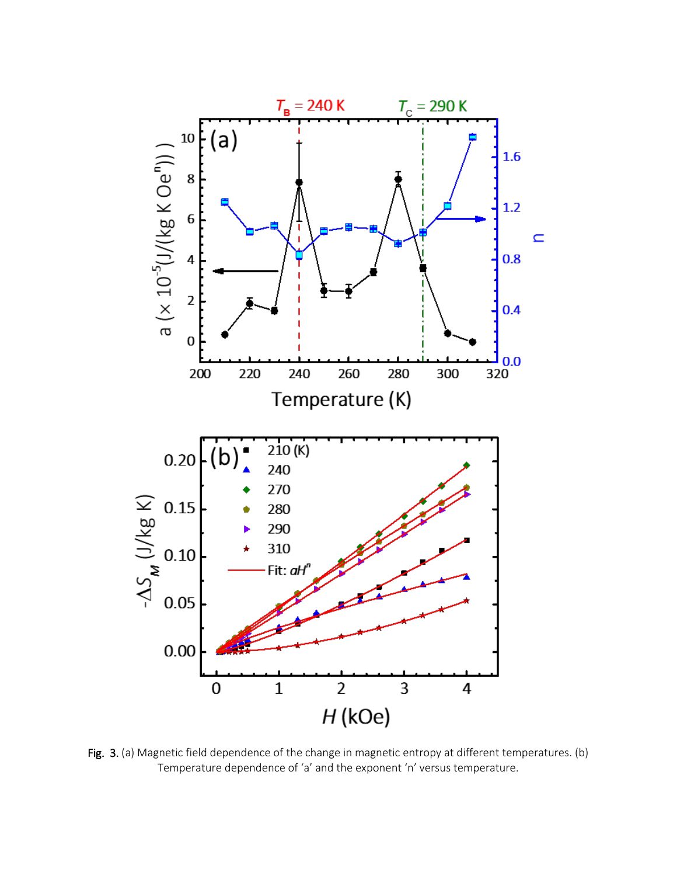

Fig. 3. (a) Magnetic field dependence of the change in magnetic entropy at different temperatures. (b) Temperature dependence of 'a' and the exponent 'n' versus temperature.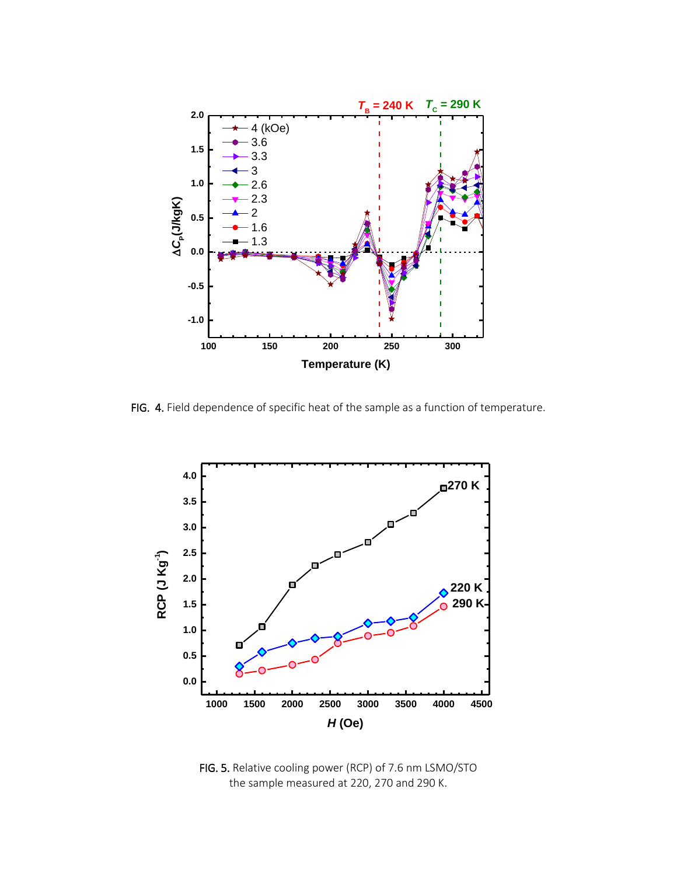

FIG. 4. Field dependence of specific heat of the sample as a function of temperature.



FIG. 5. Relative cooling power (RCP) of 7.6 nm LSMO/STO the sample measured at 220, 270 and 290 K.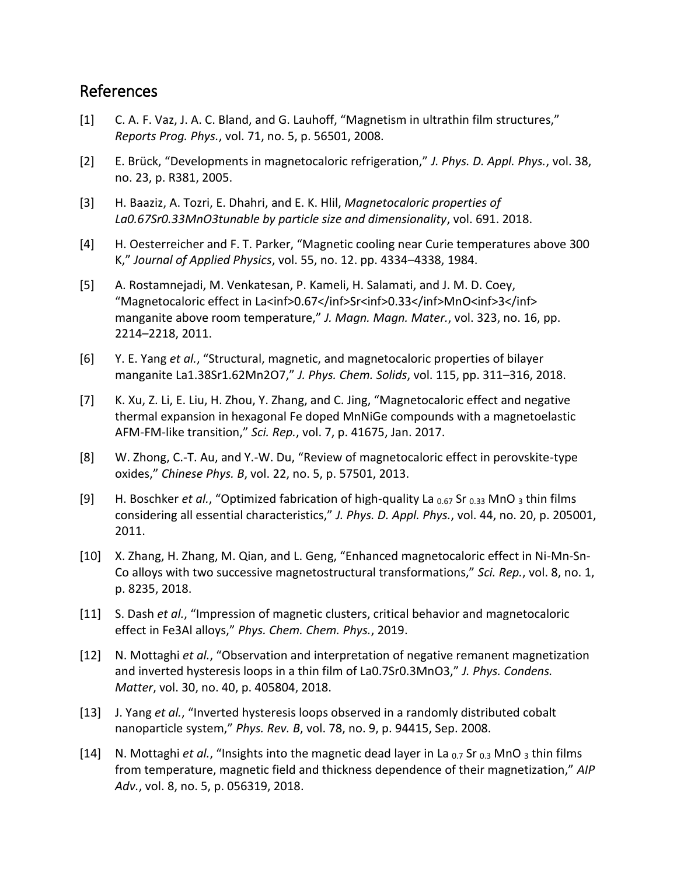## References

- [1] C. A. F. Vaz, J. A. C. Bland, and G. Lauhoff, "Magnetism in ultrathin film structures," *Reports Prog. Phys.*, vol. 71, no. 5, p. 56501, 2008.
- [2] E. Brück, "Developments in magnetocaloric refrigeration," *J. Phys. D. Appl. Phys.*, vol. 38, no. 23, p. R381, 2005.
- [3] H. Baaziz, A. Tozri, E. Dhahri, and E. K. Hlil, *Magnetocaloric properties of La0.67Sr0.33MnO3tunable by particle size and dimensionality*, vol. 691. 2018.
- [4] H. Oesterreicher and F. T. Parker, "Magnetic cooling near Curie temperatures above 300 K," *Journal of Applied Physics*, vol. 55, no. 12. pp. 4334–4338, 1984.
- [5] A. Rostamnejadi, M. Venkatesan, P. Kameli, H. Salamati, and J. M. D. Coey, "Magnetocaloric effect in La<inf>0.67</inf>Sr<inf>0.33</inf>MnO<inf>3</inf> manganite above room temperature," *J. Magn. Magn. Mater.*, vol. 323, no. 16, pp. 2214–2218, 2011.
- [6] Y. E. Yang *et al.*, "Structural, magnetic, and magnetocaloric properties of bilayer manganite La1.38Sr1.62Mn2O7," *J. Phys. Chem. Solids*, vol. 115, pp. 311–316, 2018.
- [7] K. Xu, Z. Li, E. Liu, H. Zhou, Y. Zhang, and C. Jing, "Magnetocaloric effect and negative thermal expansion in hexagonal Fe doped MnNiGe compounds with a magnetoelastic AFM-FM-like transition," *Sci. Rep.*, vol. 7, p. 41675, Jan. 2017.
- [8] W. Zhong, C.-T. Au, and Y.-W. Du, "Review of magnetocaloric effect in perovskite-type oxides," *Chinese Phys. B*, vol. 22, no. 5, p. 57501, 2013.
- [9] H. Boschker *et al.*, "Optimized fabrication of high-quality La <sub>0.67</sub> Sr <sub>0.33</sub> MnO <sub>3</sub> thin films considering all essential characteristics," *J. Phys. D. Appl. Phys.*, vol. 44, no. 20, p. 205001, 2011.
- [10] X. Zhang, H. Zhang, M. Qian, and L. Geng, "Enhanced magnetocaloric effect in Ni-Mn-Sn-Co alloys with two successive magnetostructural transformations," *Sci. Rep.*, vol. 8, no. 1, p. 8235, 2018.
- [11] S. Dash *et al.*, "Impression of magnetic clusters, critical behavior and magnetocaloric effect in Fe3Al alloys," *Phys. Chem. Chem. Phys.*, 2019.
- [12] N. Mottaghi *et al.*, "Observation and interpretation of negative remanent magnetization and inverted hysteresis loops in a thin film of La0.7Sr0.3MnO3," *J. Phys. Condens. Matter*, vol. 30, no. 40, p. 405804, 2018.
- [13] J. Yang *et al.*, "Inverted hysteresis loops observed in a randomly distributed cobalt nanoparticle system," *Phys. Rev. B*, vol. 78, no. 9, p. 94415, Sep. 2008.
- [14] N. Mottaghi *et al.*, "Insights into the magnetic dead layer in La 0.7 Sr 0.3 MnO 3 thin films from temperature, magnetic field and thickness dependence of their magnetization," *AIP Adv.*, vol. 8, no. 5, p. 056319, 2018.